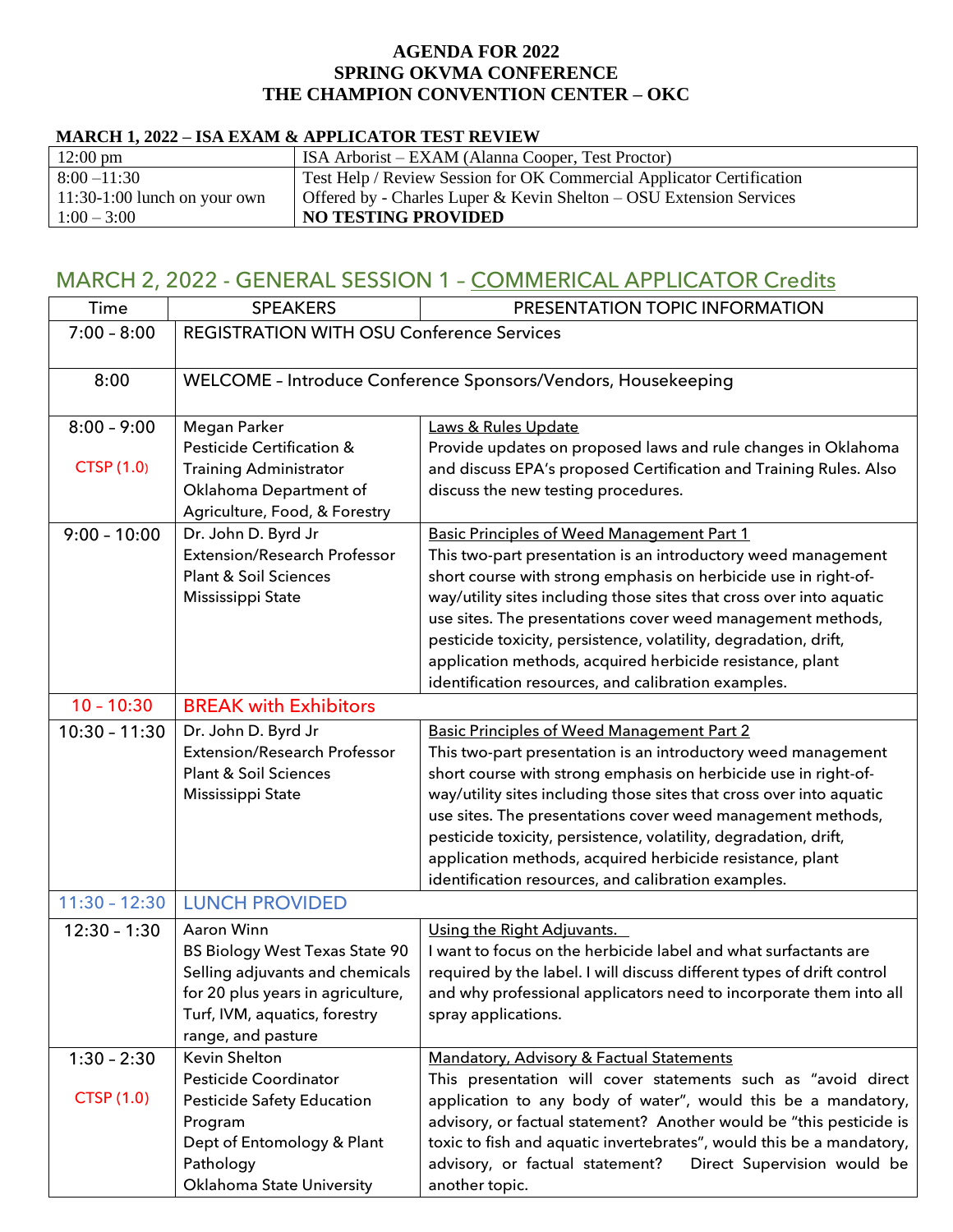#### **AGENDA FOR 2022 SPRING OKVMA CONFERENCE THE CHAMPION CONVENTION CENTER – OKC**

#### **MARCH 1, 2022 – ISA EXAM & APPLICATOR TEST REVIEW**

| $12:00 \text{ pm}$             | ISA Arborist – EXAM (Alanna Cooper, Test Proctor)                     |
|--------------------------------|-----------------------------------------------------------------------|
| $8:00 - 11:30$                 | Test Help / Review Session for OK Commercial Applicator Certification |
| $11:30-1:00$ lunch on your own | Offered by - Charles Luper & Kevin Shelton $-$ OSU Extension Services |
| $1:00 - 3:00$                  | <b>NO TESTING PROVIDED</b>                                            |

# MARCH 2, 2022 - GENERAL SESSION 1 – COMMERICAL APPLICATOR Credits

| Time              | <b>SPEAKERS</b>                                               | PRESENTATION TOPIC INFORMATION                                         |  |
|-------------------|---------------------------------------------------------------|------------------------------------------------------------------------|--|
| $7:00 - 8:00$     | <b>REGISTRATION WITH OSU Conference Services</b>              |                                                                        |  |
|                   |                                                               |                                                                        |  |
|                   |                                                               |                                                                        |  |
| 8:00              | WELCOME - Introduce Conference Sponsors/Vendors, Housekeeping |                                                                        |  |
| $8:00 - 9:00$     | Megan Parker                                                  | Laws & Rules Update                                                    |  |
|                   | Pesticide Certification &                                     | Provide updates on proposed laws and rule changes in Oklahoma          |  |
| <b>CTSP (1.0)</b> | <b>Training Administrator</b>                                 | and discuss EPA's proposed Certification and Training Rules. Also      |  |
|                   | Oklahoma Department of                                        | discuss the new testing procedures.                                    |  |
|                   | Agriculture, Food, & Forestry                                 |                                                                        |  |
| $9:00 - 10:00$    | Dr. John D. Byrd Jr                                           | <b>Basic Principles of Weed Management Part 1</b>                      |  |
|                   | Extension/Research Professor                                  | This two-part presentation is an introductory weed management          |  |
|                   | <b>Plant &amp; Soil Sciences</b>                              | short course with strong emphasis on herbicide use in right-of-        |  |
|                   | Mississippi State                                             | way/utility sites including those sites that cross over into aquatic   |  |
|                   |                                                               | use sites. The presentations cover weed management methods,            |  |
|                   |                                                               | pesticide toxicity, persistence, volatility, degradation, drift,       |  |
|                   |                                                               | application methods, acquired herbicide resistance, plant              |  |
|                   |                                                               | identification resources, and calibration examples.                    |  |
| $10 - 10:30$      | <b>BREAK with Exhibitors</b>                                  |                                                                        |  |
| $10:30 - 11:30$   | Dr. John D. Byrd Jr                                           | <b>Basic Principles of Weed Management Part 2</b>                      |  |
|                   | <b>Extension/Research Professor</b>                           | This two-part presentation is an introductory weed management          |  |
|                   | <b>Plant &amp; Soil Sciences</b>                              | short course with strong emphasis on herbicide use in right-of-        |  |
|                   | Mississippi State                                             | way/utility sites including those sites that cross over into aquatic   |  |
|                   |                                                               | use sites. The presentations cover weed management methods,            |  |
|                   |                                                               | pesticide toxicity, persistence, volatility, degradation, drift,       |  |
|                   |                                                               | application methods, acquired herbicide resistance, plant              |  |
|                   |                                                               | identification resources, and calibration examples.                    |  |
| $11:30 - 12:30$   | <b>LUNCH PROVIDED</b>                                         |                                                                        |  |
| $12:30 - 1:30$    | Aaron Winn                                                    | Using the Right Adjuvants.                                             |  |
|                   | <b>BS Biology West Texas State 90</b>                         | I want to focus on the herbicide label and what surfactants are        |  |
|                   | Selling adjuvants and chemicals                               | required by the label. I will discuss different types of drift control |  |
|                   | for 20 plus years in agriculture,                             | and why professional applicators need to incorporate them into all     |  |
|                   | Turf, IVM, aquatics, forestry                                 | spray applications.                                                    |  |
|                   | range, and pasture                                            |                                                                        |  |
| $1:30 - 2:30$     | Kevin Shelton                                                 | Mandatory, Advisory & Factual Statements                               |  |
|                   | Pesticide Coordinator                                         | This presentation will cover statements such as "avoid direct          |  |
| <b>CTSP (1.0)</b> | Pesticide Safety Education                                    | application to any body of water", would this be a mandatory,          |  |
|                   | Program                                                       | advisory, or factual statement? Another would be "this pesticide is    |  |
|                   | Dept of Entomology & Plant                                    | toxic to fish and aquatic invertebrates", would this be a mandatory,   |  |
|                   | Pathology                                                     | advisory, or factual statement?<br>Direct Supervision would be         |  |
|                   | Oklahoma State University                                     | another topic.                                                         |  |